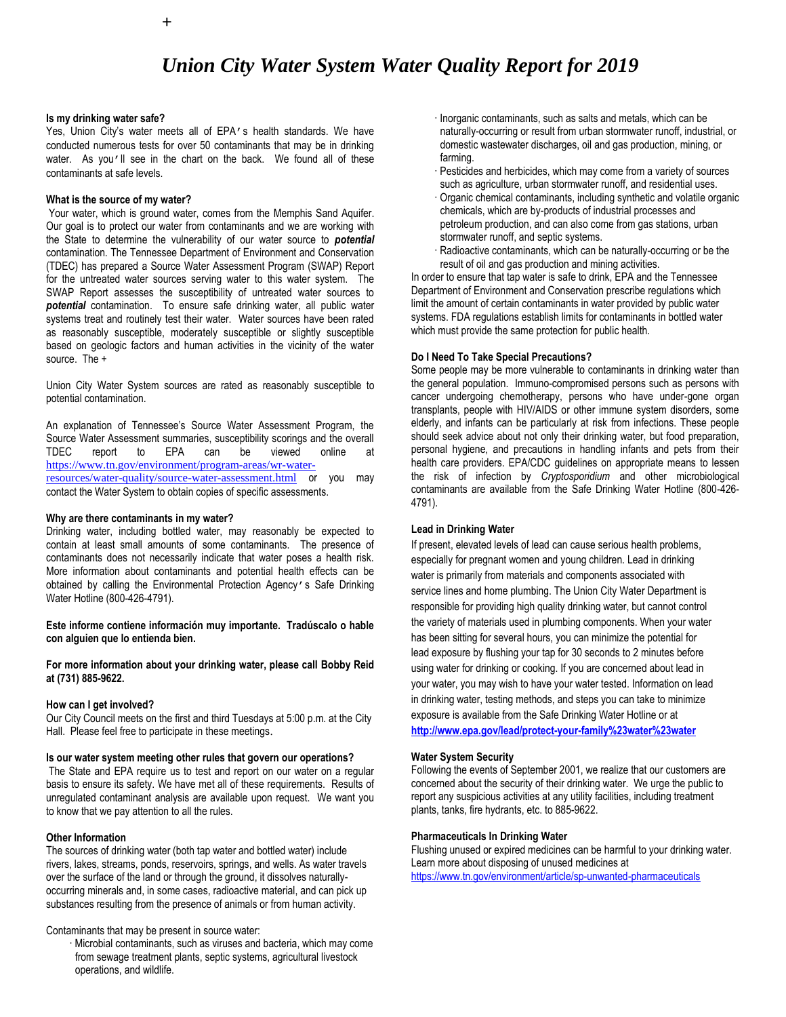## *Union City Water System Water Quality Report for 2019*

#### **Is my drinking water safe?**

Yes, Union City's water meets all of EPA's health standards. We have conducted numerous tests for over 50 contaminants that may be in drinking water. As you'll see in the chart on the back. We found all of these contaminants at safe levels.

#### **What is the source of my water?**

Your water, which is ground water, comes from the Memphis Sand Aquifer. Our goal is to protect our water from contaminants and we are working with the State to determine the vulnerability of our water source to *potential*  contamination. The Tennessee Department of Environment and Conservation (TDEC) has prepared a Source Water Assessment Program (SWAP) Report for the untreated water sources serving water to this water system. The SWAP Report assesses the susceptibility of untreated water sources to *potential* contamination. To ensure safe drinking water, all public water systems treat and routinely test their water. Water sources have been rated as reasonably susceptible, moderately susceptible or slightly susceptible based on geologic factors and human activities in the vicinity of the water source. The +

Union City Water System sources are rated as reasonably susceptible to potential contamination.

An explanation of Tennessee's Source Water Assessment Program, the Source Water Assessment summaries, susceptibility scorings and the overall TDEC report to EPA can be viewed online at [https://www.tn.gov/environment/program-areas/wr-water](https://www.tn.gov/environment/program-areas/wr-water-resources/water-quality/source-water-assessment.html)[resources/water-quality/source-water-assessment.html](https://www.tn.gov/environment/program-areas/wr-water-resources/water-quality/source-water-assessment.html) or you may contact the Water System to obtain copies of specific assessments.

#### **Why are there contaminants in my water?**

Drinking water, including bottled water, may reasonably be expected to contain at least small amounts of some contaminants. The presence of contaminants does not necessarily indicate that water poses a health risk. More information about contaminants and potential health effects can be obtained by calling the Environmental Protection Agency's Safe Drinking Water Hotline (800-426-4791).

**Este informe contiene información muy importante. Tradúscalo o hable con alguien que lo entienda bien.**

**For more information about your drinking water, please call Bobby Reid at (731) 885-9622.**

#### **How can I get involved?**

Our City Council meets on the first and third Tuesdays at 5:00 p.m. at the City Hall. Please feel free to participate in these meetings.

#### **Is our water system meeting other rules that govern our operations?**

The State and EPA require us to test and report on our water on a regular basis to ensure its safety. We have met all of these requirements. Results of unregulated contaminant analysis are available upon request. We want you to know that we pay attention to all the rules.

#### **Other Information**

The sources of drinking water (both tap water and bottled water) include rivers, lakes, streams, ponds, reservoirs, springs, and wells. As water travels over the surface of the land or through the ground, it dissolves naturallyoccurring minerals and, in some cases, radioactive material, and can pick up substances resulting from the presence of animals or from human activity.

Contaminants that may be present in source water:

· Microbial contaminants, such as viruses and bacteria, which may come from sewage treatment plants, septic systems, agricultural livestock operations, and wildlife.

- · Inorganic contaminants, such as salts and metals, which can be naturally-occurring or result from urban stormwater runoff, industrial, or domestic wastewater discharges, oil and gas production, mining, or farming.
- · Pesticides and herbicides, which may come from a variety of sources such as agriculture, urban stormwater runoff, and residential uses.
- · Organic chemical contaminants, including synthetic and volatile organic chemicals, which are by-products of industrial processes and petroleum production, and can also come from gas stations, urban stormwater runoff, and septic systems.
- Radioactive contaminants, which can be naturally-occurring or be the result of oil and gas production and mining activities.

In order to ensure that tap water is safe to drink, EPA and the Tennessee Department of Environment and Conservation prescribe regulations which limit the amount of certain contaminants in water provided by public water systems. FDA regulations establish limits for contaminants in bottled water which must provide the same protection for public health.

#### **Do I Need To Take Special Precautions?**

Some people may be more vulnerable to contaminants in drinking water than the general population. Immuno-compromised persons such as persons with cancer undergoing chemotherapy, persons who have under-gone organ transplants, people with HIV/AIDS or other immune system disorders, some elderly, and infants can be particularly at risk from infections. These people should seek advice about not only their drinking water, but food preparation, personal hygiene, and precautions in handling infants and pets from their health care providers. EPA/CDC guidelines on appropriate means to lessen the risk of infection by *Cryptosporidium* and other microbiological contaminants are available from the Safe Drinking Water Hotline (800-426- 4791).

#### **Lead in Drinking Water**

If present, elevated levels of lead can cause serious health problems, especially for pregnant women and young children. Lead in drinking water is primarily from materials and components associated with service lines and home plumbing. The Union City Water Department is responsible for providing high quality drinking water, but cannot control the variety of materials used in plumbing components. When your water has been sitting for several hours, you can minimize the potential for lead exposure by flushing your tap for 30 seconds to 2 minutes before using water for drinking or cooking. If you are concerned about lead in your water, you may wish to have your water tested. Information on lead in drinking water, testing methods, and steps you can take to minimize exposure is available from the Safe Drinking Water Hotline or at **<http://www.epa.gov/lead/protect-your-family%23water%23water>**

#### **Water System Security**

Following the events of September 2001, we realize that our customers are concerned about the security of their drinking water. We urge the public to report any suspicious activities at any utility facilities, including treatment plants, tanks, fire hydrants, etc. to 885-9622.

#### **Pharmaceuticals In Drinking Water**

Flushing unused or expired medicines can be harmful to your drinking water. Learn more about disposing of unused medicines at <https://www.tn.gov/environment/article/sp-unwanted-pharmaceuticals>